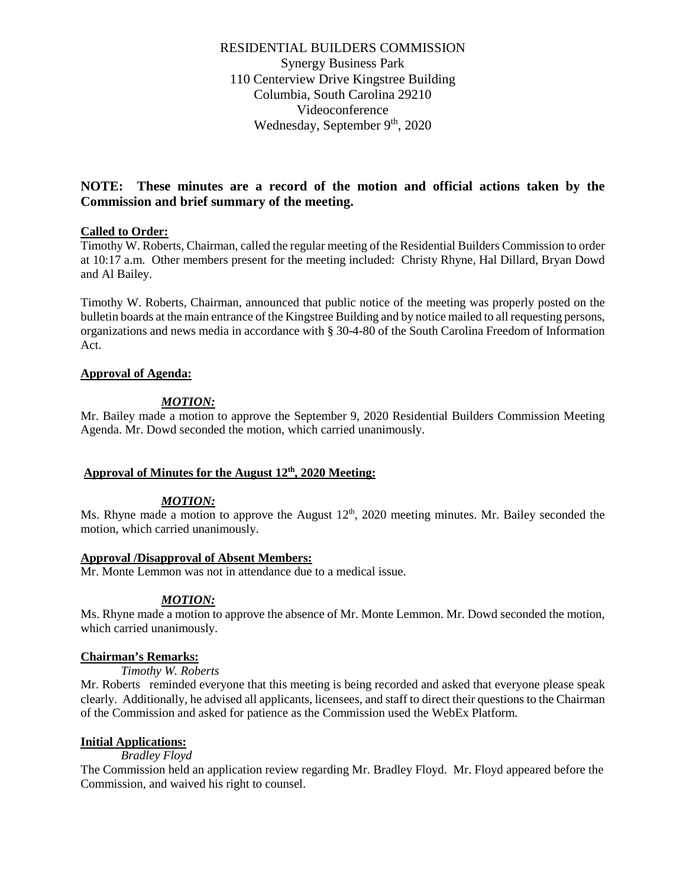RESIDENTIAL BUILDERS COMMISSION Synergy Business Park 110 Centerview Drive Kingstree Building Columbia, South Carolina 29210 Videoconference Wednesday, September 9th, 2020

# **NOTE: These minutes are a record of the motion and official actions taken by the Commission and brief summary of the meeting.**

# **Called to Order:**

Timothy W. Roberts, Chairman, called the regular meeting of the Residential Builders Commission to order at 10:17 a.m. Other members present for the meeting included: Christy Rhyne, Hal Dillard, Bryan Dowd and Al Bailey.

Timothy W. Roberts, Chairman, announced that public notice of the meeting was properly posted on the bulletin boards at the main entrance of the Kingstree Building and by notice mailed to all requesting persons, organizations and news media in accordance with § 30-4-80 of the South Carolina Freedom of Information Act.

# **Approval of Agenda:**

### *MOTION:*

Mr. Bailey made a motion to approve the September 9, 2020 Residential Builders Commission Meeting Agenda. Mr. Dowd seconded the motion, which carried unanimously.

# **Approval of Minutes for the August 12th, 2020 Meeting:**

#### *MOTION:*

Ms. Rhyne made a motion to approve the August  $12<sup>th</sup>$ , 2020 meeting minutes. Mr. Bailey seconded the motion, which carried unanimously.

#### **Approval /Disapproval of Absent Members:**

Mr. Monte Lemmon was not in attendance due to a medical issue.

# *MOTION:*

Ms. Rhyne made a motion to approve the absence of Mr. Monte Lemmon. Mr. Dowd seconded the motion, which carried unanimously.

#### **Chairman's Remarks:**

#### *Timothy W. Roberts*

Mr. Roberts reminded everyone that this meeting is being recorded and asked that everyone please speak clearly. Additionally, he advised all applicants, licensees, and staff to direct their questions to the Chairman of the Commission and asked for patience as the Commission used the WebEx Platform.

# **Initial Applications:**

#### *Bradley Floyd*

The Commission held an application review regarding Mr. Bradley Floyd. Mr. Floyd appeared before the Commission, and waived his right to counsel.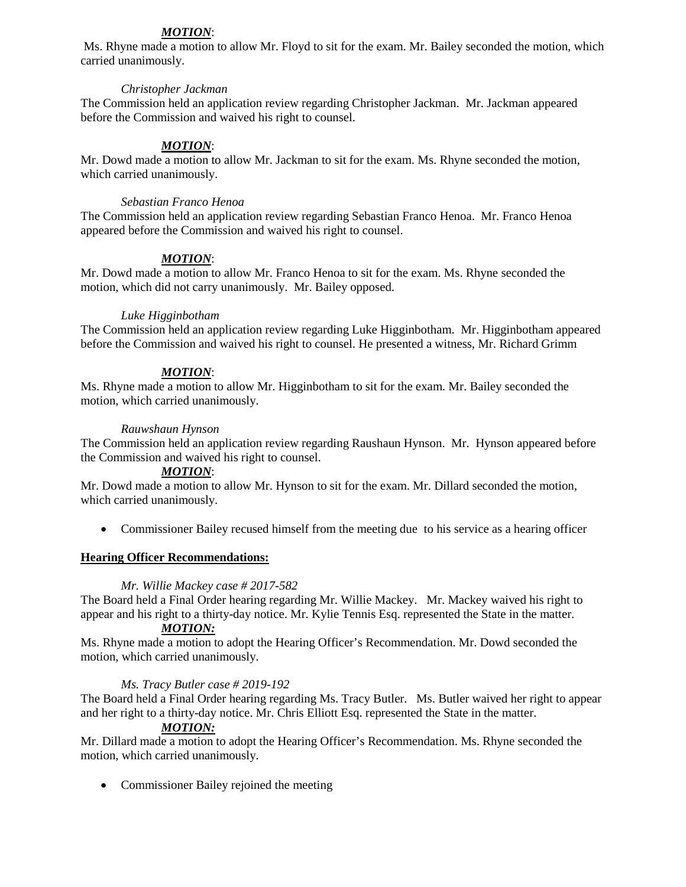# *MOTION*:

Ms. Rhyne made a motion to allow Mr. Floyd to sit for the exam. Mr. Bailey seconded the motion, which carried unanimously.

# *Christopher Jackman*

The Commission held an application review regarding Christopher Jackman. Mr. Jackman appeared before the Commission and waived his right to counsel.

# *MOTION*:

Mr. Dowd made a motion to allow Mr. Jackman to sit for the exam. Ms. Rhyne seconded the motion, which carried unanimously.

### *Sebastian Franco Henoa*

The Commission held an application review regarding Sebastian Franco Henoa. Mr. Franco Henoa appeared before the Commission and waived his right to counsel.

# *MOTION*:

Mr. Dowd made a motion to allow Mr. Franco Henoa to sit for the exam. Ms. Rhyne seconded the motion, which did not carry unanimously. Mr. Bailey opposed.

### *Luke Higginbotham*

The Commission held an application review regarding Luke Higginbotham. Mr. Higginbotham appeared before the Commission and waived his right to counsel. He presented a witness, Mr. Richard Grimm

# *MOTION*:

Ms. Rhyne made a motion to allow Mr. Higginbotham to sit for the exam. Mr. Bailey seconded the motion, which carried unanimously.

### *Rauwshaun Hynson*

The Commission held an application review regarding Raushaun Hynson. Mr. Hynson appeared before the Commission and waived his right to counsel.

# *MOTION*:

Mr. Dowd made a motion to allow Mr. Hynson to sit for the exam. Mr. Dillard seconded the motion, which carried unanimously.

• Commissioner Bailey recused himself from the meeting due to his service as a hearing officer

# **Hearing Officer Recommendations:**

#### *Mr. Willie Mackey case # 2017-582*

The Board held a Final Order hearing regarding Mr. Willie Mackey. Mr. Mackey waived his right to appear and his right to a thirty-day notice. Mr. Kylie Tennis Esq. represented the State in the matter.

# *MOTION:*

Ms. Rhyne made a motion to adopt the Hearing Officer's Recommendation. Mr. Dowd seconded the motion, which carried unanimously.

# *Ms. Tracy Butler case # 2019-192*

The Board held a Final Order hearing regarding Ms. Tracy Butler. Ms. Butler waived her right to appear and her right to a thirty-day notice. Mr. Chris Elliott Esq. represented the State in the matter.

# *MOTION:*

Mr. Dillard made a motion to adopt the Hearing Officer's Recommendation. Ms. Rhyne seconded the motion, which carried unanimously.

• Commissioner Bailey rejoined the meeting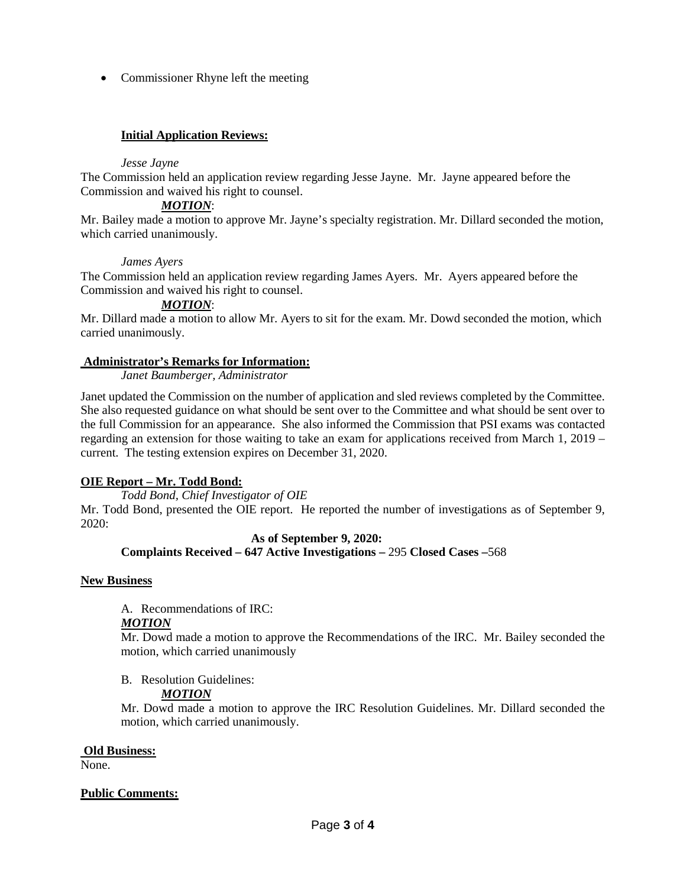• Commissioner Rhyne left the meeting

# **Initial Application Reviews:**

#### *Jesse Jayne*

The Commission held an application review regarding Jesse Jayne. Mr. Jayne appeared before the Commission and waived his right to counsel.

### *MOTION*:

Mr. Bailey made a motion to approve Mr. Jayne's specialty registration. Mr. Dillard seconded the motion, which carried unanimously.

### *James Ayers*

The Commission held an application review regarding James Ayers. Mr. Ayers appeared before the Commission and waived his right to counsel.

### *MOTION*:

Mr. Dillard made a motion to allow Mr. Ayers to sit for the exam. Mr. Dowd seconded the motion, which carried unanimously.

### **Administrator's Remarks for Information:**

*Janet Baumberger, Administrator* 

Janet updated the Commission on the number of application and sled reviews completed by the Committee. She also requested guidance on what should be sent over to the Committee and what should be sent over to the full Commission for an appearance. She also informed the Commission that PSI exams was contacted regarding an extension for those waiting to take an exam for applications received from March 1, 2019 – current. The testing extension expires on December 31, 2020.

# **OIE Report – Mr. Todd Bond:**

*Todd Bond, Chief Investigator of OIE* Mr. Todd Bond, presented the OIE report. He reported the number of investigations as of September 9, 2020:

#### **As of September 9, 2020: Complaints Received – 647 Active Investigations –** 295 **Closed Cases –**568

#### **New Business**

A. Recommendations of IRC:

### *MOTION*

Mr. Dowd made a motion to approve the Recommendations of the IRC. Mr. Bailey seconded the motion, which carried unanimously

B. Resolution Guidelines:

# *MOTION*

Mr. Dowd made a motion to approve the IRC Resolution Guidelines. Mr. Dillard seconded the motion, which carried unanimously.

#### **Old Business:**

None.

#### **Public Comments:**